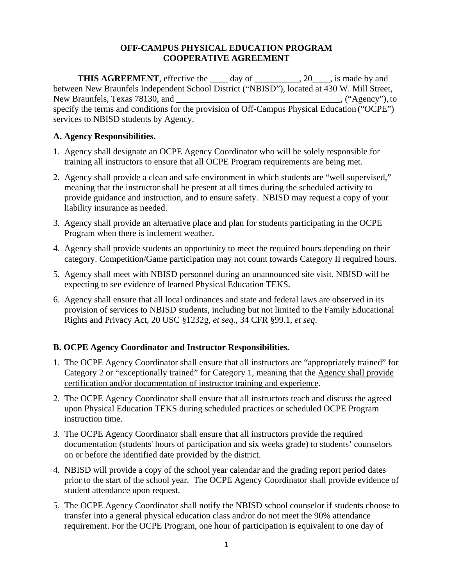#### **OFF-CAMPUS PHYSICAL EDUCATION PROGRAM COOPERATIVE AGREEMENT**

**THIS AGREEMENT**, effective the \_\_\_\_ day of \_\_\_\_\_\_\_\_\_, 20\_\_\_, is made by and between New Braunfels Independent School District ("NBISD"), located at 430 W. Mill Street, New Braunfels, Texas 78130, and \_\_\_\_\_\_\_\_\_\_\_\_\_\_\_\_\_\_\_\_\_\_\_\_\_\_\_\_\_\_\_\_\_\_, ("Agency"), to specify the terms and conditions for the provision of Off-Campus Physical Education ("OCPE") services to NBISD students by Agency.

#### **A. Agency Responsibilities.**

- 1. Agency shall designate an OCPE Agency Coordinator who will be solely responsible for training all instructors to ensure that all OCPE Program requirements are being met.
- 2. Agency shall provide a clean and safe environment in which students are "well supervised," meaning that the instructor shall be present at all times during the scheduled activity to provide guidance and instruction, and to ensure safety. NBISD may request a copy of your liability insurance as needed.
- 3. Agency shall provide an alternative place and plan for students participating in the OCPE Program when there is inclement weather.
- 4. Agency shall provide students an opportunity to meet the required hours depending on their category. Competition/Game participation may not count towards Category II required hours.
- 5. Agency shall meet with NBISD personnel during an unannounced site visit. NBISD will be expecting to see evidence of learned Physical Education TEKS.
- 6. Agency shall ensure that all local ordinances and state and federal laws are observed in its provision of services to NBISD students, including but not limited to the Family Educational Rights and Privacy Act, 20 USC §1232g, *et seq*., 34 CFR §99.1, *et seq*.

# **B. OCPE Agency Coordinator and Instructor Responsibilities.**

- 1. The OCPE Agency Coordinator shall ensure that all instructors are "appropriately trained" for Category 2 or "exceptionally trained" for Category 1, meaning that the Agency shall provide certification and/or documentation of instructor training and experience.
- 2. The OCPE Agency Coordinator shall ensure that all instructors teach and discuss the agreed upon Physical Education TEKS during scheduled practices or scheduled OCPE Program instruction time.
- 3. The OCPE Agency Coordinator shall ensure that all instructors provide the required documentation (students' hours of participation and six weeks grade) to students' counselors on or before the identified date provided by the district.
- 4.NBISD will provide a copy of the school year calendar and the grading report period dates prior to the start of the school year. The OCPE Agency Coordinator shall provide evidence of student attendance upon request.
- 5. The OCPE Agency Coordinator shall notify the NBISD school counselor if students choose to transfer into a general physical education class and/or do not meet the 90% attendance requirement. For the OCPE Program, one hour of participation is equivalent to one day of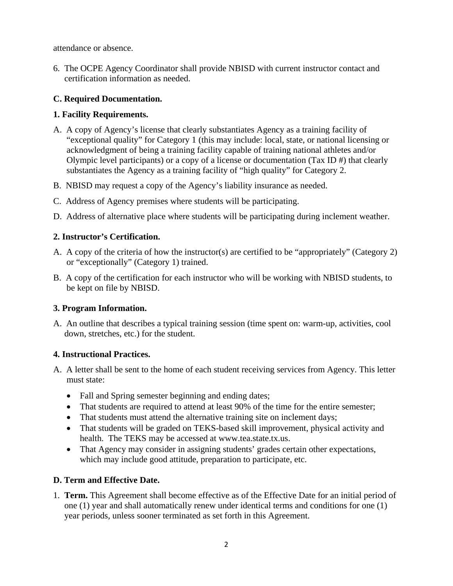attendance or absence.

6. The OCPE Agency Coordinator shall provide NBISD with current instructor contact and certification information as needed.

# **C. Required Documentation.**

# **1. Facility Requirements.**

- A. A copy of Agency's license that clearly substantiates Agency as a training facility of "exceptional quality" for Category 1 (this may include: local, state, or national licensing or acknowledgment of being a training facility capable of training national athletes and/or Olympic level participants) or a copy of a license or documentation (Tax ID #) that clearly substantiates the Agency as a training facility of "high quality" for Category 2.
- B. NBISD may request a copy of the Agency's liability insurance as needed.
- C. Address of Agency premises where students will be participating.
- D. Address of alternative place where students will be participating during inclement weather.

# **2. Instructor's Certification.**

- A. A copy of the criteria of how the instructor(s) are certified to be "appropriately" (Category 2) or "exceptionally" (Category 1) trained.
- B. A copy of the certification for each instructor who will be working with NBISD students, to be kept on file by NBISD.

# **3. Program Information.**

A. An outline that describes a typical training session (time spent on: warm-up, activities, cool down, stretches, etc.) for the student.

# **4. Instructional Practices.**

- A. A letter shall be sent to the home of each student receiving services from Agency. This letter must state:
	- Fall and Spring semester beginning and ending dates;
	- That students are required to attend at least 90% of the time for the entire semester;
	- That students must attend the alternative training site on inclement days;
	- That students will be graded on TEKS-based skill improvement, physical activity and health. The TEKS may be accessed at www.tea.state.tx.us.
	- That Agency may consider in assigning students' grades certain other expectations, which may include good attitude, preparation to participate, etc.

# **D. Term and Effective Date.**

1. **Term.** This Agreement shall become effective as of the Effective Date for an initial period of one (1) year and shall automatically renew under identical terms and conditions for one (1) year periods, unless sooner terminated as set forth in this Agreement.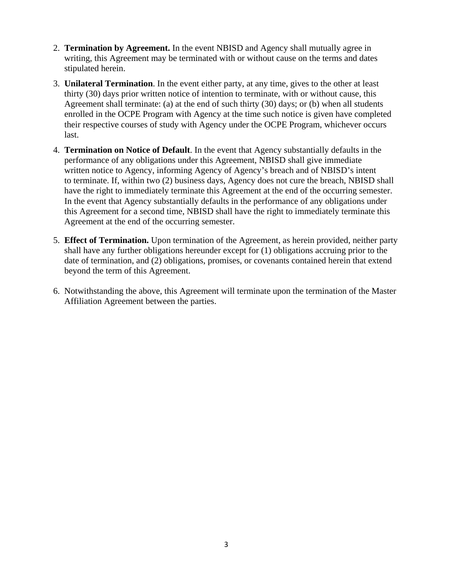- 2. **Termination by Agreement.** In the event NBISD and Agency shall mutually agree in writing, this Agreement may be terminated with or without cause on the terms and dates stipulated herein.
- 3. **Unilateral Termination**. In the event either party, at any time, gives to the other at least thirty (30) days prior written notice of intention to terminate, with or without cause, this Agreement shall terminate: (a) at the end of such thirty (30) days; or (b) when all students enrolled in the OCPE Program with Agency at the time such notice is given have completed their respective courses of study with Agency under the OCPE Program, whichever occurs last.
- 4. **Termination on Notice of Default**. In the event that Agency substantially defaults in the performance of any obligations under this Agreement, NBISD shall give immediate written notice to Agency, informing Agency of Agency's breach and of NBISD's intent to terminate. If, within two (2) business days, Agency does not cure the breach, NBISD shall have the right to immediately terminate this Agreement at the end of the occurring semester. In the event that Agency substantially defaults in the performance of any obligations under this Agreement for a second time, NBISD shall have the right to immediately terminate this Agreement at the end of the occurring semester.
- 5. **Effect of Termination.** Upon termination of the Agreement, as herein provided, neither party shall have any further obligations hereunder except for (1) obligations accruing prior to the date of termination, and (2) obligations, promises, or covenants contained herein that extend beyond the term of this Agreement.
- 6. Notwithstanding the above, this Agreement will terminate upon the termination of the Master Affiliation Agreement between the parties.